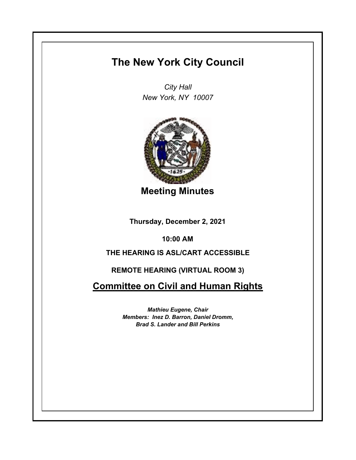# **The New York City Council**

*City Hall New York, NY 10007*



**Meeting Minutes**

**Thursday, December 2, 2021**

**10:00 AM**

# **THE HEARING IS ASL/CART ACCESSIBLE**

## **REMOTE HEARING (VIRTUAL ROOM 3)**

**Committee on Civil and Human Rights**

*Mathieu Eugene, Chair Members: Inez D. Barron, Daniel Dromm, Brad S. Lander and Bill Perkins*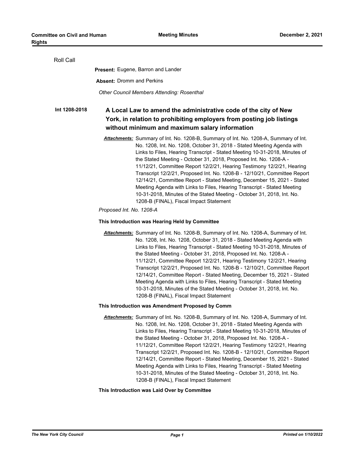| Roll Call     |                                                                                                                                                                                                                                                                                                                                                                                                                                                                                                                                                                                                                                                                                                                                                                                 |
|---------------|---------------------------------------------------------------------------------------------------------------------------------------------------------------------------------------------------------------------------------------------------------------------------------------------------------------------------------------------------------------------------------------------------------------------------------------------------------------------------------------------------------------------------------------------------------------------------------------------------------------------------------------------------------------------------------------------------------------------------------------------------------------------------------|
|               | <b>Present: Eugene, Barron and Lander</b>                                                                                                                                                                                                                                                                                                                                                                                                                                                                                                                                                                                                                                                                                                                                       |
|               | <b>Absent: Dromm and Perkins</b>                                                                                                                                                                                                                                                                                                                                                                                                                                                                                                                                                                                                                                                                                                                                                |
|               | Other Council Members Attending: Rosenthal                                                                                                                                                                                                                                                                                                                                                                                                                                                                                                                                                                                                                                                                                                                                      |
| Int 1208-2018 | A Local Law to amend the administrative code of the city of New<br>York, in relation to prohibiting employers from posting job listings<br>without minimum and maximum salary information                                                                                                                                                                                                                                                                                                                                                                                                                                                                                                                                                                                       |
|               | Attachments: Summary of Int. No. 1208-B, Summary of Int. No. 1208-A, Summary of Int.<br>No. 1208, Int. No. 1208, October 31, 2018 - Stated Meeting Agenda with<br>Links to Files, Hearing Transcript - Stated Meeting 10-31-2018, Minutes of<br>the Stated Meeting - October 31, 2018, Proposed Int. No. 1208-A -<br>11/12/21, Committee Report 12/2/21, Hearing Testimony 12/2/21, Hearing<br>Transcript 12/2/21, Proposed Int. No. 1208-B - 12/10/21, Committee Report<br>12/14/21, Committee Report - Stated Meeting, December 15, 2021 - Stated<br>Meeting Agenda with Links to Files, Hearing Transcript - Stated Meeting<br>10-31-2018, Minutes of the Stated Meeting - October 31, 2018, Int. No.<br>1208-B (FINAL), Fiscal Impact Statement<br>Proposed Int. No. 1208-A |
|               |                                                                                                                                                                                                                                                                                                                                                                                                                                                                                                                                                                                                                                                                                                                                                                                 |
|               | This Introduction was Hearing Held by Committee                                                                                                                                                                                                                                                                                                                                                                                                                                                                                                                                                                                                                                                                                                                                 |
|               | Attachments: Summary of Int. No. 1208-B, Summary of Int. No. 1208-A, Summary of Int.<br>No. 1208, Int. No. 1208, October 31, 2018 - Stated Meeting Agenda with<br>Links to Files, Hearing Transcript - Stated Meeting 10-31-2018, Minutes of<br>the Stated Meeting - October 31, 2018, Proposed Int. No. 1208-A -<br>11/12/21, Committee Report 12/2/21, Hearing Testimony 12/2/21, Hearing<br>Transcript 12/2/21, Proposed Int. No. 1208-B - 12/10/21, Committee Report<br>12/14/21, Committee Report - Stated Meeting, December 15, 2021 - Stated<br>Meeting Agenda with Links to Files, Hearing Transcript - Stated Meeting<br>10-31-2018, Minutes of the Stated Meeting - October 31, 2018, Int. No.<br>1208-B (FINAL), Fiscal Impact Statement                             |
|               | This Introduction was Amendment Proposed by Comm                                                                                                                                                                                                                                                                                                                                                                                                                                                                                                                                                                                                                                                                                                                                |
|               | Attachments: Summary of Int. No. 1208-B, Summary of Int. No. 1208-A, Summary of Int.<br>No. 1208, Int. No. 1208, October 31, 2018 - Stated Meeting Agenda with<br>Links to Files, Hearing Transcript - Stated Meeting 10-31-2018, Minutes of<br>the Stated Meeting - October 31, 2018, Proposed Int. No. 1208-A -<br>11/12/21, Committee Report 12/2/21, Hearing Testimony 12/2/21, Hearing<br>Transcript 12/2/21, Proposed Int. No. 1208-B - 12/10/21, Committee Report<br>12/14/21, Committee Report - Stated Meeting, December 15, 2021 - Stated<br>Meeting Agenda with Links to Files, Hearing Transcript - Stated Meeting<br>10-31-2018, Minutes of the Stated Meeting - October 31, 2018, Int. No.<br>1208-B (FINAL), Fiscal Impact Statement                             |

### **This Introduction was Laid Over by Committee**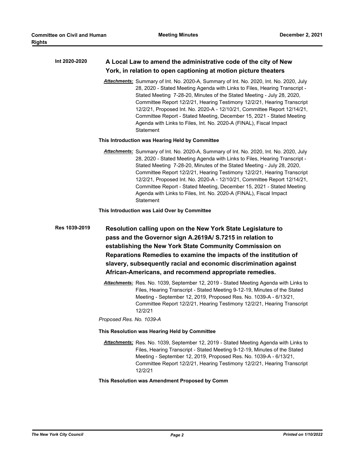| Int 2020-2020 | A Local Law to amend the administrative code of the city of New |
|---------------|-----------------------------------------------------------------|
|               | York, in relation to open captioning at motion picture theaters |

*Attachments:* Summary of Int. No. 2020-A, Summary of Int. No. 2020, Int. No. 2020, July 28, 2020 - Stated Meeting Agenda with Links to Files, Hearing Transcript - Stated Meeting 7-28-20, Minutes of the Stated Meeting - July 28, 2020, Committee Report 12/2/21, Hearing Testimony 12/2/21, Hearing Transcript 12/2/21, Proposed Int. No. 2020-A - 12/10/21, Committee Report 12/14/21, Committee Report - Stated Meeting, December 15, 2021 - Stated Meeting Agenda with Links to Files, Int. No. 2020-A (FINAL), Fiscal Impact **Statement** 

### **This Introduction was Hearing Held by Committee**

*Attachments:* Summary of Int. No. 2020-A, Summary of Int. No. 2020, Int. No. 2020, July 28, 2020 - Stated Meeting Agenda with Links to Files, Hearing Transcript - Stated Meeting 7-28-20, Minutes of the Stated Meeting - July 28, 2020, Committee Report 12/2/21, Hearing Testimony 12/2/21, Hearing Transcript 12/2/21, Proposed Int. No. 2020-A - 12/10/21, Committee Report 12/14/21, Committee Report - Stated Meeting, December 15, 2021 - Stated Meeting Agenda with Links to Files, Int. No. 2020-A (FINAL), Fiscal Impact **Statement** 

**This Introduction was Laid Over by Committee**

**Resolution calling upon on the New York State Legislature to pass and the Governor sign A.2619A/ S.7215 in relation to establishing the New York State Community Commission on Reparations Remedies to examine the impacts of the institution of slavery, subsequently racial and economic discrimination against African-Americans, and recommend appropriate remedies. Res 1039-2019**

> *Attachments:* Res. No. 1039, September 12, 2019 - Stated Meeting Agenda with Links to Files, Hearing Transcript - Stated Meeting 9-12-19, Minutes of the Stated Meeting - September 12, 2019, Proposed Res. No. 1039-A - 6/13/21, Committee Report 12/2/21, Hearing Testimony 12/2/21, Hearing Transcript 12/2/21

*Proposed Res. No. 1039-A*

#### **This Resolution was Hearing Held by Committee**

*Attachments:* Res. No. 1039, September 12, 2019 - Stated Meeting Agenda with Links to Files, Hearing Transcript - Stated Meeting 9-12-19, Minutes of the Stated Meeting - September 12, 2019, Proposed Res. No. 1039-A - 6/13/21, Committee Report 12/2/21, Hearing Testimony 12/2/21, Hearing Transcript 12/2/21

#### **This Resolution was Amendment Proposed by Comm**